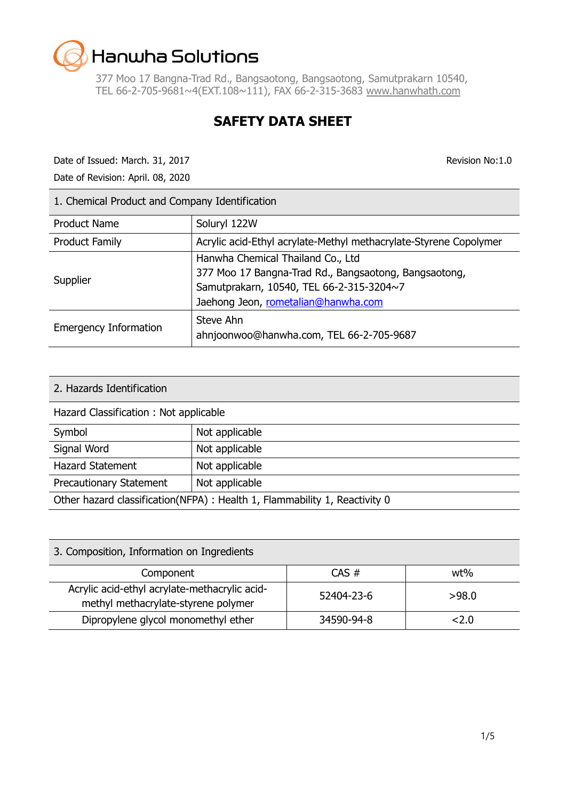377 Moo 17 Bangna-Trad Rd., Bangsaotong, Bangsaotong, Samutprakarn 10540, TEL 66-2-705-9681~4(EXT.108~111), FAX 66-2-315-3683 [www.hanwhath.com](http://www.hanwhath.com/)

### **SAFETY DATA SHEET**

Date of Issued: March. 31, 2017 **Revision No:1.0** Revision No:1.0

Date of Revision: April. 08, 2020

| 1. Chemical Product and Company Identification |                                                                                                                                                                               |  |
|------------------------------------------------|-------------------------------------------------------------------------------------------------------------------------------------------------------------------------------|--|
| <b>Product Name</b>                            | Soluryl 122W                                                                                                                                                                  |  |
| <b>Product Family</b>                          | Acrylic acid-Ethyl acrylate-Methyl methacrylate-Styrene Copolymer                                                                                                             |  |
| Supplier                                       | Hanwha Chemical Thailand Co., Ltd<br>377 Moo 17 Bangna-Trad Rd., Bangsaotong, Bangsaotong,<br>Samutprakarn, 10540, TEL 66-2-315-3204~7<br>Jaehong Jeon, rometalian@hanwha.com |  |
| <b>Emergency Information</b>                   | Steve Ahn<br>ahnjoonwoo@hanwha.com, TEL 66-2-705-9687                                                                                                                         |  |

| 2. Hazards Identification                                                  |                |  |
|----------------------------------------------------------------------------|----------------|--|
| Hazard Classification: Not applicable                                      |                |  |
| Symbol                                                                     | Not applicable |  |
| Signal Word                                                                | Not applicable |  |
| <b>Hazard Statement</b>                                                    | Not applicable |  |
| Not applicable<br><b>Precautionary Statement</b>                           |                |  |
| Other hazard classification(NFPA) : Health 1, Flammability 1, Reactivity 0 |                |  |

| 3. Composition, Information on Ingredients                                           |            |       |
|--------------------------------------------------------------------------------------|------------|-------|
| Component                                                                            | $CAS \#$   | wt%   |
| Acrylic acid-ethyl acrylate-methacrylic acid-<br>methyl methacrylate-styrene polymer | 52404-23-6 | >98.0 |
| Dipropylene glycol monomethyl ether                                                  | 34590-94-8 | 2.0   |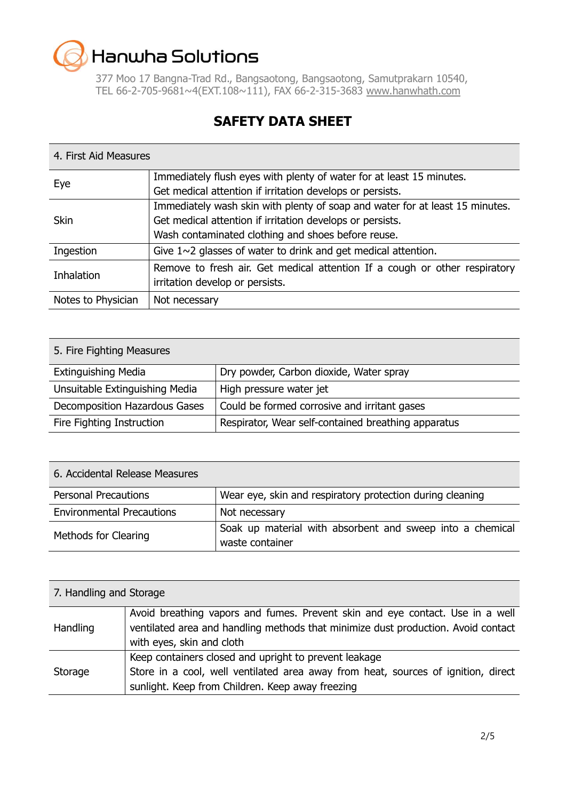377 Moo 17 Bangna-Trad Rd., Bangsaotong, Bangsaotong, Samutprakarn 10540, TEL 66-2-705-9681~4(EXT.108~111), FAX 66-2-315-3683 [www.hanwhath.com](http://www.hanwhath.com/)

### **SAFETY DATA SHEET**

#### 4. First Aid Measures

| Eye                | Immediately flush eyes with plenty of water for at least 15 minutes.         |
|--------------------|------------------------------------------------------------------------------|
|                    | Get medical attention if irritation develops or persists.                    |
|                    | Immediately wash skin with plenty of soap and water for at least 15 minutes. |
| <b>Skin</b>        | Get medical attention if irritation develops or persists.                    |
|                    | Wash contaminated clothing and shoes before reuse.                           |
| Ingestion          | Give $1 \sim 2$ glasses of water to drink and get medical attention.         |
| <b>Inhalation</b>  | Remove to fresh air. Get medical attention If a cough or other respiratory   |
|                    | irritation develop or persists.                                              |
| Notes to Physician | Not necessary                                                                |
|                    |                                                                              |

| 5. Fire Fighting Measures      |                                                     |  |
|--------------------------------|-----------------------------------------------------|--|
| <b>Extinguishing Media</b>     | Dry powder, Carbon dioxide, Water spray             |  |
| Unsuitable Extinguishing Media | High pressure water jet                             |  |
| Decomposition Hazardous Gases  | Could be formed corrosive and irritant gases        |  |
| Fire Fighting Instruction      | Respirator, Wear self-contained breathing apparatus |  |

| 6. Accidental Release Measures   |                                                                              |
|----------------------------------|------------------------------------------------------------------------------|
| <b>Personal Precautions</b>      | Wear eye, skin and respiratory protection during cleaning                    |
| <b>Environmental Precautions</b> | Not necessary                                                                |
| Methods for Clearing             | Soak up material with absorbent and sweep into a chemical<br>waste container |

| 7. Handling and Storage |                                                                                                                                                                                                 |  |
|-------------------------|-------------------------------------------------------------------------------------------------------------------------------------------------------------------------------------------------|--|
| Handling                | Avoid breathing vapors and fumes. Prevent skin and eye contact. Use in a well<br>ventilated area and handling methods that minimize dust production. Avoid contact<br>with eyes, skin and cloth |  |
| Storage                 | Keep containers closed and upright to prevent leakage<br>Store in a cool, well ventilated area away from heat, sources of ignition, direct<br>sunlight. Keep from Children. Keep away freezing  |  |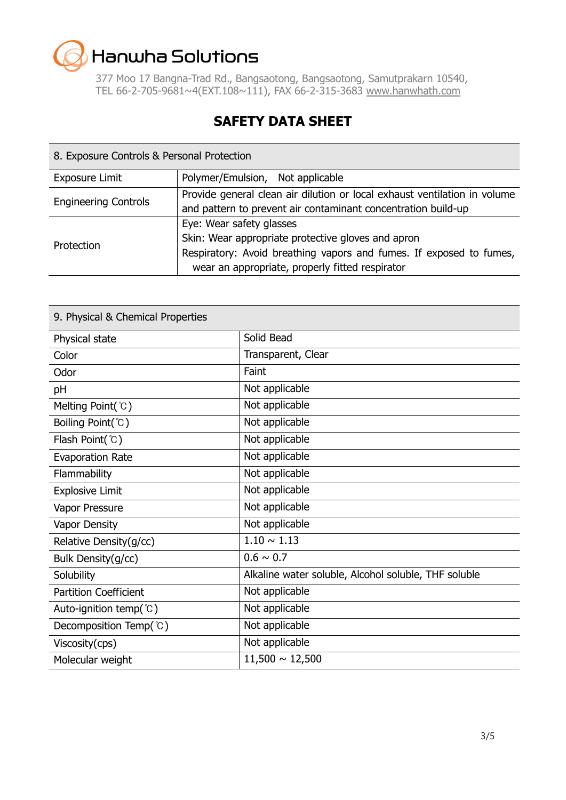377 Moo 17 Bangna-Trad Rd., Bangsaotong, Bangsaotong, Samutprakarn 10540, TEL 66-2-705-9681~4(EXT.108~111), FAX 66-2-315-3683 [www.hanwhath.com](http://www.hanwhath.com/)

### **SAFETY DATA SHEET**

| 8. Exposure Controls & Personal Protection |                                                                                                                                                                                                          |  |
|--------------------------------------------|----------------------------------------------------------------------------------------------------------------------------------------------------------------------------------------------------------|--|
| <b>Exposure Limit</b>                      | Polymer/Emulsion, Not applicable                                                                                                                                                                         |  |
| <b>Engineering Controls</b>                | Provide general clean air dilution or local exhaust ventilation in volume<br>and pattern to prevent air contaminant concentration build-up                                                               |  |
| Protection                                 | Eye: Wear safety glasses<br>Skin: Wear appropriate protective gloves and apron<br>Respiratory: Avoid breathing vapors and fumes. If exposed to fumes,<br>wear an appropriate, properly fitted respirator |  |

| 9. Physical & Chemical Properties |                                                      |
|-----------------------------------|------------------------------------------------------|
| Physical state                    | Solid Bead                                           |
| Color                             | Transparent, Clear                                   |
| Odor                              | Faint                                                |
| pH                                | Not applicable                                       |
| Melting Point( $^{\circ}$ C)      | Not applicable                                       |
| Boiling Point(°C)                 | Not applicable                                       |
| Flash Point(°C)                   | Not applicable                                       |
| <b>Evaporation Rate</b>           | Not applicable                                       |
| Flammability                      | Not applicable                                       |
| <b>Explosive Limit</b>            | Not applicable                                       |
| Vapor Pressure                    | Not applicable                                       |
| Vapor Density                     | Not applicable                                       |
| Relative Density(g/cc)            | $1.10 \sim 1.13$                                     |
| Bulk Density(g/cc)                | $0.6 \sim 0.7$                                       |
| Solubility                        | Alkaline water soluble, Alcohol soluble, THF soluble |
| <b>Partition Coefficient</b>      | Not applicable                                       |
| Auto-ignition temp( $\degree$ C)  | Not applicable                                       |
| Decomposition Temp(°C)            | Not applicable                                       |
| Viscosity(cps)                    | Not applicable                                       |
| Molecular weight                  | $11,500 \sim 12,500$                                 |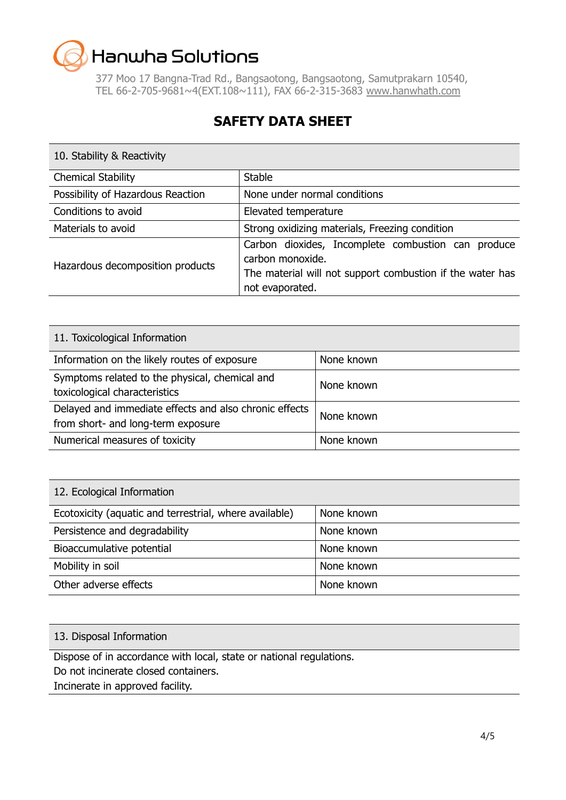377 Moo 17 Bangna-Trad Rd., Bangsaotong, Bangsaotong, Samutprakarn 10540, TEL 66-2-705-9681~4(EXT.108~111), FAX 66-2-315-3683 [www.hanwhath.com](http://www.hanwhath.com/)

### **SAFETY DATA SHEET**

| 10. Stability & Reactivity        |                                                                                                                                                        |
|-----------------------------------|--------------------------------------------------------------------------------------------------------------------------------------------------------|
| <b>Chemical Stability</b>         | <b>Stable</b>                                                                                                                                          |
| Possibility of Hazardous Reaction | None under normal conditions                                                                                                                           |
| Conditions to avoid               | Elevated temperature                                                                                                                                   |
| Materials to avoid                | Strong oxidizing materials, Freezing condition                                                                                                         |
| Hazardous decomposition products  | Carbon dioxides, Incomplete combustion can produce<br>carbon monoxide.<br>The material will not support combustion if the water has<br>not evaporated. |

| 11. Toxicological Information                                                                |            |  |
|----------------------------------------------------------------------------------------------|------------|--|
| Information on the likely routes of exposure                                                 | None known |  |
| Symptoms related to the physical, chemical and<br>toxicological characteristics              | None known |  |
| Delayed and immediate effects and also chronic effects<br>from short- and long-term exposure | None known |  |
| Numerical measures of toxicity                                                               | None known |  |

| 12. Ecological Information                             |            |
|--------------------------------------------------------|------------|
| Ecotoxicity (aquatic and terrestrial, where available) | None known |
| Persistence and degradability                          | None known |
| Bioaccumulative potential                              | None known |
| Mobility in soil                                       | None known |
| Other adverse effects                                  | None known |

#### 13. Disposal Information

Dispose of in accordance with local, state or national regulations.

Do not incinerate closed containers.

Incinerate in approved facility.